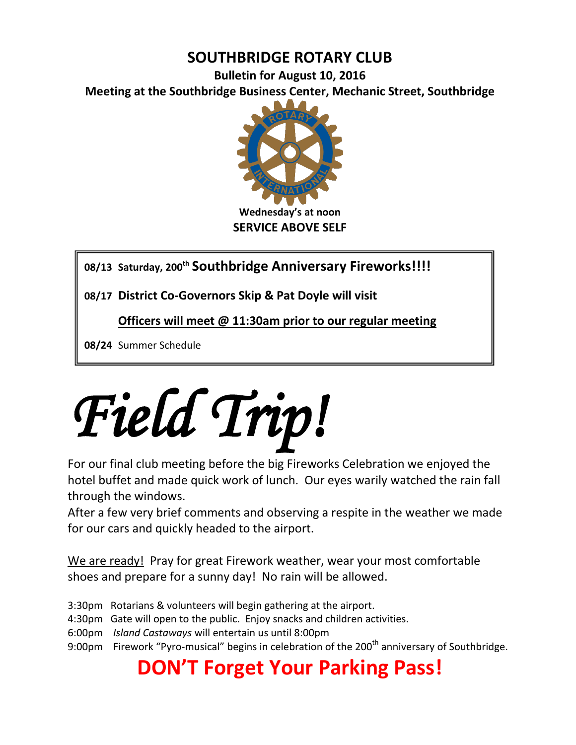## **SOUTHBRIDGE ROTARY CLUB**

**Bulletin for August 10, 2016 Meeting at the Southbridge Business Center, Mechanic Street, Southbridge**



**08/13 Saturday, 200th Southbridge Anniversary Fireworks!!!!**

**08/17 District Co-Governors Skip & Pat Doyle will visit**

**Officers will meet @ 11:30am prior to our regular meeting**

**08/24** Summer Schedule



For our final club meeting before the big Fireworks Celebration we enjoyed the hotel buffet and made quick work of lunch. Our eyes warily watched the rain fall through the windows.

After a few very brief comments and observing a respite in the weather we made for our cars and quickly headed to the airport.

We are ready! Pray for great Firework weather, wear your most comfortable shoes and prepare for a sunny day! No rain will be allowed.

- 3:30pm Rotarians & volunteers will begin gathering at the airport.
- 4:30pm Gate will open to the public. Enjoy snacks and children activities.
- 6:00pm *Island Castaways* will entertain us until 8:00pm
- 9:00pm Firework "Pyro-musical" begins in celebration of the 200<sup>th</sup> anniversary of Southbridge.

# **DON'T Forget Your Parking Pass!**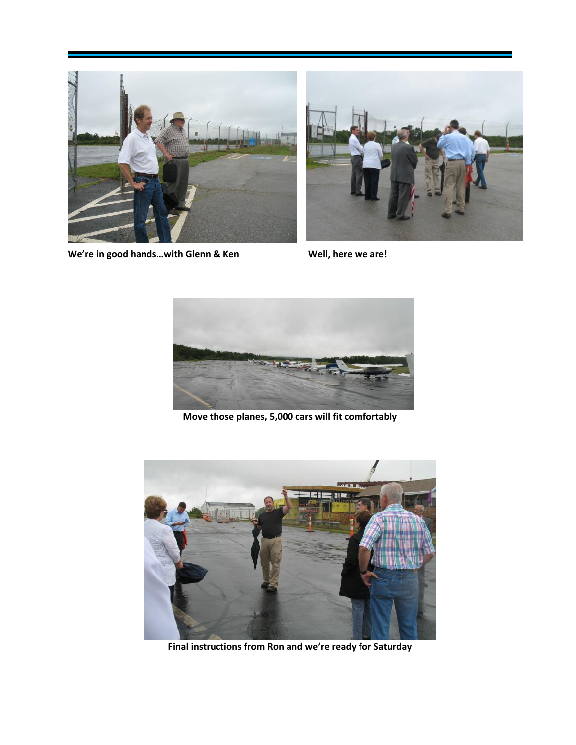



We're in good hands...with Glenn & Ken
<br>
Well, here we are!



**Move those planes, 5,000 cars will fit comfortably**



**Final instructions from Ron and we're ready for Saturday**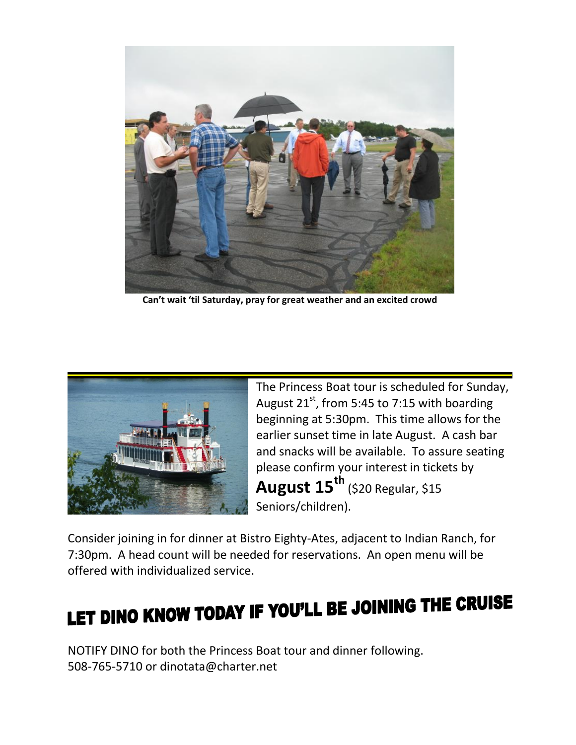

**Can't wait 'til Saturday, pray for great weather and an excited crowd**



The Princess Boat tour is scheduled for Sunday, August  $21^{st}$ , from 5:45 to 7:15 with boarding beginning at 5:30pm. This time allows for the earlier sunset time in late August. A cash bar and snacks will be available. To assure seating please confirm your interest in tickets by **August 15th** (\$20 Regular, \$15 Seniors/children).

Consider joining in for dinner at Bistro Eighty-Ates, adjacent to Indian Ranch, for 7:30pm. A head count will be needed for reservations. An open menu will be offered with individualized service.

# LET DINO KNOW TODAY IF YOU'LL BE JOINING THE CRUISE

NOTIFY DINO for both the Princess Boat tour and dinner following. 508-765-5710 or dinotata@charter.net